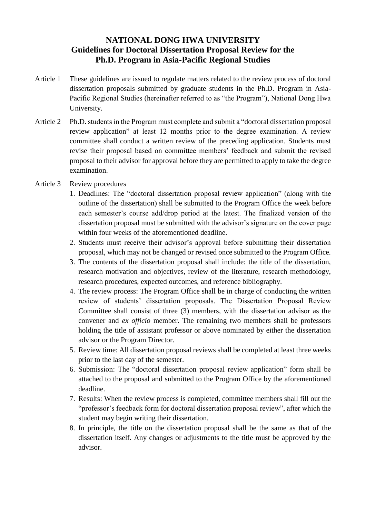## **NATIONAL DONG HWA UNIVERSITY Guidelines for Doctoral Dissertation Proposal Review for the Ph.D. Program in Asia-Pacific Regional Studies**

- Article 1 These guidelines are issued to regulate matters related to the review process of doctoral dissertation proposals submitted by graduate students in the Ph.D. Program in Asia-Pacific Regional Studies (hereinafter referred to as "the Program"), National Dong Hwa University.
- Article 2 Ph.D. students in the Program must complete and submit a "doctoral dissertation proposal review application" at least 12 months prior to the degree examination. A review committee shall conduct a written review of the preceding application. Students must revise their proposal based on committee members' feedback and submit the revised proposal to their advisor for approval before they are permitted to apply to take the degree examination.
- Article 3 Review procedures
	- 1. Deadlines: The "doctoral dissertation proposal review application" (along with the outline of the dissertation) shall be submitted to the Program Office the week before each semester's course add/drop period at the latest. The finalized version of the dissertation proposal must be submitted with the advisor's signature on the cover page within four weeks of the aforementioned deadline.
	- 2. Students must receive their advisor's approval before submitting their dissertation proposal, which may not be changed or revised once submitted to the Program Office.
	- 3. The contents of the dissertation proposal shall include: the title of the dissertation, research motivation and objectives, review of the literature, research methodology, research procedures, expected outcomes, and reference bibliography.
	- 4. The review process: The Program Office shall be in charge of conducting the written review of students' dissertation proposals. The Dissertation Proposal Review Committee shall consist of three (3) members, with the dissertation advisor as the convener and *ex officio* member. The remaining two members shall be professors holding the title of assistant professor or above nominated by either the dissertation advisor or the Program Director.
	- 5. Review time: All dissertation proposal reviews shall be completed at least three weeks prior to the last day of the semester.
	- 6. Submission: The "doctoral dissertation proposal review application" form shall be attached to the proposal and submitted to the Program Office by the aforementioned deadline.
	- 7. Results: When the review process is completed, committee members shall fill out the "professor's feedback form for doctoral dissertation proposal review", after which the student may begin writing their dissertation.
	- 8. In principle, the title on the dissertation proposal shall be the same as that of the dissertation itself. Any changes or adjustments to the title must be approved by the advisor.